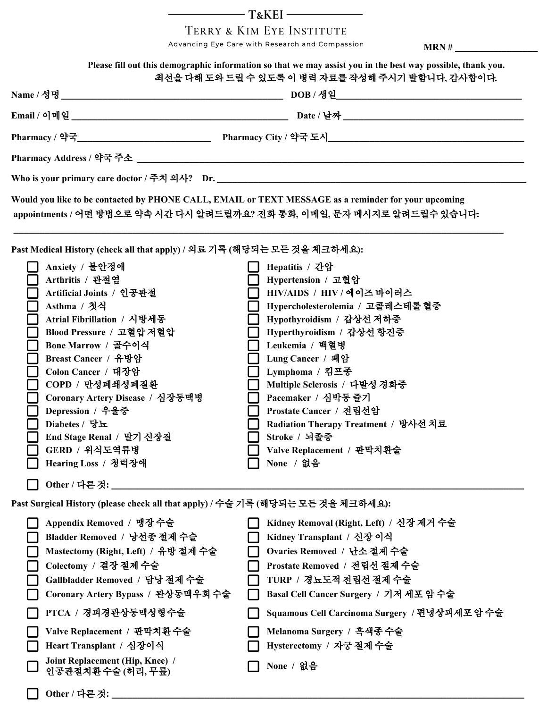$-TxKEI$ 

TERRY & KIM EYE INSTITUTE

Advancing Eye Care with Research and Compassion **MRN** # \_\_\_\_\_\_\_\_\_\_\_\_\_\_\_\_\_\_\_\_\_\_\_\_\_

| Please fill out this demographic information so that we may assist you in the best way possible, thank you.<br>최선을 다해 도와 드릴 수 있도록 이 병력 자료를 작성해 주시기 발함니다. 감사합이다. |                                                                                                                                                                                                                                                                                                                                                                                           |  |                                                                                                                                                                                                                                                                                                                                                                                                         |  |  |  |
|-----------------------------------------------------------------------------------------------------------------------------------------------------------------|-------------------------------------------------------------------------------------------------------------------------------------------------------------------------------------------------------------------------------------------------------------------------------------------------------------------------------------------------------------------------------------------|--|---------------------------------------------------------------------------------------------------------------------------------------------------------------------------------------------------------------------------------------------------------------------------------------------------------------------------------------------------------------------------------------------------------|--|--|--|
|                                                                                                                                                                 |                                                                                                                                                                                                                                                                                                                                                                                           |  |                                                                                                                                                                                                                                                                                                                                                                                                         |  |  |  |
|                                                                                                                                                                 |                                                                                                                                                                                                                                                                                                                                                                                           |  |                                                                                                                                                                                                                                                                                                                                                                                                         |  |  |  |
|                                                                                                                                                                 |                                                                                                                                                                                                                                                                                                                                                                                           |  |                                                                                                                                                                                                                                                                                                                                                                                                         |  |  |  |
|                                                                                                                                                                 |                                                                                                                                                                                                                                                                                                                                                                                           |  |                                                                                                                                                                                                                                                                                                                                                                                                         |  |  |  |
|                                                                                                                                                                 |                                                                                                                                                                                                                                                                                                                                                                                           |  |                                                                                                                                                                                                                                                                                                                                                                                                         |  |  |  |
|                                                                                                                                                                 |                                                                                                                                                                                                                                                                                                                                                                                           |  | Would you like to be contacted by PHONE CALL, EMAIL or TEXT MESSAGE as a reminder for your upcoming<br>appointments / 어떤 방법으로 약속 시간 다시 알려드릴까요? 전화 통화, 이메일, 문자 메시지로 알려드릴수 있습니다:                                                                                                                                                                                                                          |  |  |  |
|                                                                                                                                                                 | Past Medical History (check all that apply) / 의료 기록 (해당되는 모든 것을 체크하세요):                                                                                                                                                                                                                                                                                                                   |  |                                                                                                                                                                                                                                                                                                                                                                                                         |  |  |  |
|                                                                                                                                                                 | Anxiety / 불안정애<br>Arthritis / 관절염<br>Artificial Joints / 인공관절<br>Asthma / 첫식<br>Atrial Fibrillation / 시방세동<br>Blood Pressure / 고혈압 저혈압<br>Bone Marrow / 골수이식<br>Breast Cancer / 유방암<br>Colon Cancer / 대장암<br>COPD / 만성폐쇄성폐질환<br>Coronary Artery Disease / 심장동맥병<br>Depression / 우울증<br>Diabetes / 당뇨<br>End Stage Renal / 말기 신장질<br>GERD / 위식도역류병<br>Hearing Loss / 청력장애<br>Other / 다른 것: |  | Hepatitis / 간압<br>Hypertension / 고혈압<br>HIV/AIDS / HIV / 에이즈 바이러스<br>Hypercholesterolemia / 고콜레스테롤혈중<br>Hypothyroidism / 갑상선 저하증<br>Hyperthyroidism / 갑상선 항진증<br>Leukemia / 백혈병<br>Lung Cancer / 폐암<br>Lymphoma / 킴프종<br>Multiple Sclerosis / 다발성 경화증<br>Pacemaker / 심박동 쥴기<br>Prostate Cancer / 전립선암<br>Radiation Therapy Treatment / 방사선 치료<br>Stroke / 뇌졸중<br>Valve Replacement / 판막치환술<br>None / 없음 |  |  |  |
| Past Surgical History (please check all that apply) / 수술 기록 (해당되는 모든 것을 체크하세요):                                                                                 |                                                                                                                                                                                                                                                                                                                                                                                           |  |                                                                                                                                                                                                                                                                                                                                                                                                         |  |  |  |
|                                                                                                                                                                 | Appendix Removed / 맹장 수술<br>Bladder Removed / 낭선종 절제 수슬<br>Mastectomy (Right, Left) / 유방 절제 수술<br>Colectomy / 결장 절제 수술<br>Gallbladder Removed / 담낭 절제 수술<br>Coronary Artery Bypass / 관상동맥우회수술                                                                                                                                                                                             |  | Kidney Removal (Right, Left) / 신장 제거 수술<br>Kidney Transplant / 신장 이식<br>Ovaries Removed / 난소 절계 수술<br>Prostate Removed / 전립선 절제 수술<br>TURP / 경뇨도적 전립선 절제 수술<br>Basal Cell Cancer Surgery / 기저 세포 암 수술                                                                                                                                                                                                   |  |  |  |
|                                                                                                                                                                 | PTCA / 경피경관상동맥성형수술                                                                                                                                                                                                                                                                                                                                                                        |  | Squamous Cell Carcinoma Surgery / 편녕상피세포 암 수술                                                                                                                                                                                                                                                                                                                                                           |  |  |  |
|                                                                                                                                                                 | Valve Replacement / 판막치환 수술<br>Heart Transplant / 심장이식<br>Joint Replacement (Hip, Knee) /                                                                                                                                                                                                                                                                                                 |  | Melanoma Surgery / 흑색종 수술<br>Hysterectomy / 자궁 절제 수술                                                                                                                                                                                                                                                                                                                                                    |  |  |  |
|                                                                                                                                                                 | 인공관절치환수술(허리,무릎)<br>Other / 다른 것: ________                                                                                                                                                                                                                                                                                                                                                 |  | None / 없음                                                                                                                                                                                                                                                                                                                                                                                               |  |  |  |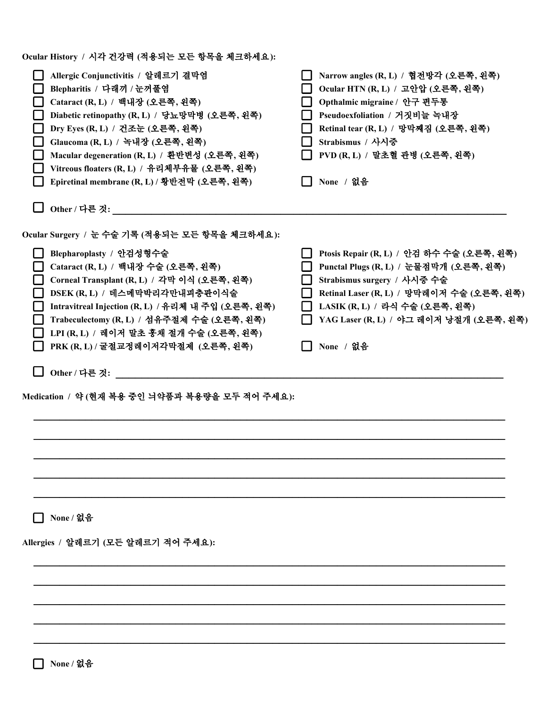| Ocular History / 시각 건강력 (적용되는 모든 항목을 체크하세요):                                                                                                                                                                                                                                                                                                                                                         |                                                                                                                                                                                                                                                                |
|------------------------------------------------------------------------------------------------------------------------------------------------------------------------------------------------------------------------------------------------------------------------------------------------------------------------------------------------------------------------------------------------------|----------------------------------------------------------------------------------------------------------------------------------------------------------------------------------------------------------------------------------------------------------------|
| Allergic Conjunctivitis / 알레르기 결막염<br>Blepharitis / 다래끼 / 눈꺼풀염<br>Cataract (R, L) / 백내장 (오른쪽, 왼쪽)<br>Diabetic retinopathy (R, L) / 당뇨망막병 (오른쪽, 왼쪽)<br>Dry Eyes (R, L) / 건조눈 (오른쪽, 왼쪽)<br>Glaucoma (R, L) / 녹내장 (오른쪽, 왼쪽)<br>Macular degeneration (R, L) / 환반변성 (오른쪽, 왼쪽)<br>Vitreous floaters (R, L) / 유리체부유물 (오른쪽, 왼쪽)<br>Epiretinal membrane (R, L) / 황반전막 (오른쪽, 왼쪽)                               | Narrow angles (R, L) / 협전방각 (오른쪽, 왼쪽)<br>Ocular HTN (R, L) / 고안압 (오른쪽, 왼쪽)<br>Opthalmic migraine / 안구 편두통<br>Pseudoexfoliation / 거짓비늘 녹내장<br>Retinal tear (R, L) / 망막째짐 (오른쪽, 왼쪽)<br>Strabismus / 사시중<br>PVD (R, L) / 말초혈 관병 (오른쪽, 왼쪽)<br>None / 없음            |
| Other / 다른 것:                                                                                                                                                                                                                                                                                                                                                                                        |                                                                                                                                                                                                                                                                |
| Ocular Surgery / 눈 수술 기록 (적용되는 모든 항목을 체크하세요):                                                                                                                                                                                                                                                                                                                                                        |                                                                                                                                                                                                                                                                |
| Blepharoplasty / 안검성형수술<br>Cataract (R, L) / 백내장 수술 (오른쪽, 왼쪽)<br>Corneal Transplant (R, L) / 각막 이식 (오른쪽, 왼쪽)<br>DSEK (R, L) / 데스메막박리각만내피충판이식술<br>Intravitreal Injection (R, L) / 유리체 내 주입 (오른쪽, 왼쪽)<br>Trabeculectomy (R, L) / 섬유주절제 수술 (오른쪽, 왼쪽)<br>LPI (R, L) / 레이저 말초 홍채 절개 수술 (오른쪽, 왼쪽)<br>PRK (R, L) / 굴절교정레이저각막절제 (오른쪽, 왼쪽)<br>Other / 다른 것:<br>Medication / 약 (현재 복용 중인 늬약품과 복용량을 모두 적어 주세요): | Ptosis Repair (R, L) / 안검 하수 수술 (오른쪽, 왼쪽)<br>Punctal Plugs (R, L) / 눈물점막개 (오른쪽, 왼쪽)<br>H<br>Strabismus surgery / 사시중 수술<br>Retinal Laser (R, L) / 망막레이저 수술 (오른쪽, 왼쪽)<br>LASIK (R, L) / 라식 수술 (오른쪽, 왼쪽)<br>YAG Laser (R, L) / 야그 레이저 낭절개 (오른쪽, 왼쪽)<br>None / 없음 |
|                                                                                                                                                                                                                                                                                                                                                                                                      |                                                                                                                                                                                                                                                                |
|                                                                                                                                                                                                                                                                                                                                                                                                      |                                                                                                                                                                                                                                                                |
| None / 없음                                                                                                                                                                                                                                                                                                                                                                                            |                                                                                                                                                                                                                                                                |
| Allergies / 알레르기 (모든 알레르기 적어 주세요):                                                                                                                                                                                                                                                                                                                                                                   |                                                                                                                                                                                                                                                                |
|                                                                                                                                                                                                                                                                                                                                                                                                      |                                                                                                                                                                                                                                                                |
|                                                                                                                                                                                                                                                                                                                                                                                                      |                                                                                                                                                                                                                                                                |
|                                                                                                                                                                                                                                                                                                                                                                                                      |                                                                                                                                                                                                                                                                |
|                                                                                                                                                                                                                                                                                                                                                                                                      |                                                                                                                                                                                                                                                                |
| None / 없음                                                                                                                                                                                                                                                                                                                                                                                            |                                                                                                                                                                                                                                                                |